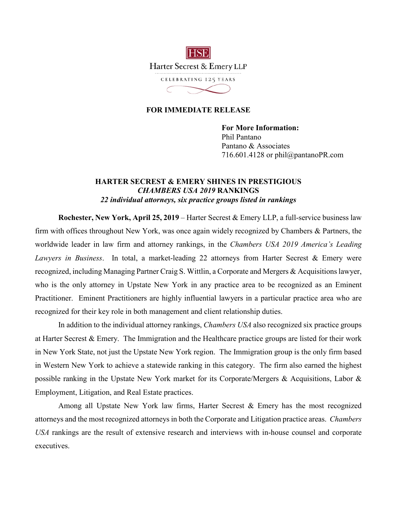

## **FOR IMMEDIATE RELEASE**

**For More Information:**  Phil Pantano Pantano & Associates 716.601.4128 or phil@pantanoPR.com

## **HARTER SECREST & EMERY SHINES IN PRESTIGIOUS** *CHAMBERS USA 2019* **RANKINGS** *22 individual attorneys, six practice groups listed in rankings*

**Rochester, New York, April 25, 2019** – Harter Secrest & Emery LLP, a full-service business law firm with offices throughout New York, was once again widely recognized by Chambers & Partners, the worldwide leader in law firm and attorney rankings, in the *Chambers USA 2019 America's Leading Lawyers in Business*. In total, a market-leading 22 attorneys from Harter Secrest & Emery were recognized, including Managing Partner Craig S. Wittlin, a Corporate and Mergers & Acquisitions lawyer, who is the only attorney in Upstate New York in any practice area to be recognized as an Eminent Practitioner. Eminent Practitioners are highly influential lawyers in a particular practice area who are recognized for their key role in both management and client relationship duties.

In addition to the individual attorney rankings, *Chambers USA* also recognized six practice groups at Harter Secrest & Emery. The Immigration and the Healthcare practice groups are listed for their work in New York State, not just the Upstate New York region. The Immigration group is the only firm based in Western New York to achieve a statewide ranking in this category. The firm also earned the highest possible ranking in the Upstate New York market for its Corporate/Mergers & Acquisitions, Labor & Employment, Litigation, and Real Estate practices.

Among all Upstate New York law firms, Harter Secrest & Emery has the most recognized attorneys and the most recognized attorneys in both the Corporate and Litigation practice areas. *Chambers USA* rankings are the result of extensive research and interviews with in-house counsel and corporate executives.